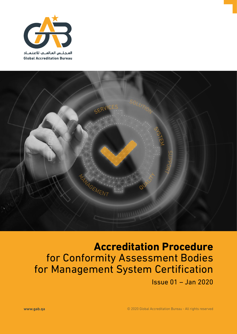



# **Accreditation Procedure** for Conformity Assessment Bodies for Management System Certification

Issue 01 – Jan 2020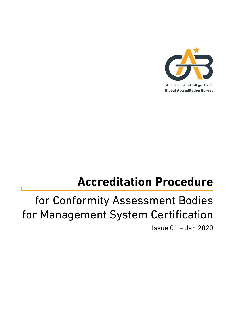

**Global Accreditation Bureau** 

# **Accreditation Procedure**

# for Conformity Assessment Bodies for Management System Certification Issue 01 – Jan 2020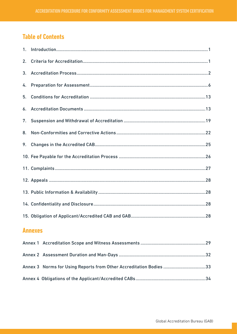# **Table of Contents**

| 2.             |  |  |  |
|----------------|--|--|--|
|                |  |  |  |
| 4.             |  |  |  |
| 5.             |  |  |  |
|                |  |  |  |
| 7.             |  |  |  |
| 8.             |  |  |  |
| 9.             |  |  |  |
|                |  |  |  |
|                |  |  |  |
|                |  |  |  |
|                |  |  |  |
|                |  |  |  |
|                |  |  |  |
| <b>Annexes</b> |  |  |  |
|                |  |  |  |
|                |  |  |  |

Annex 3 Norms for Using Reports from Other Accreditation Bodies ...................................33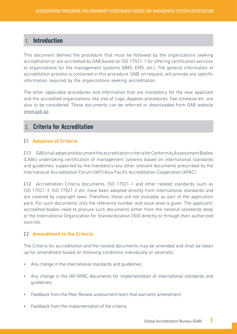# 1. **Introduction**

This document defines the procedure that must be followed by the organizations seeking accreditation or are accredited by GAB based on ISO 17021-1 for offering certification services to organizations for the management systems (QMS, EMS, etc.). The general information of accreditation process is contained in this procedure. GAB, on request, will provide any specific information required by the organizations seeking accreditation.

The other applicable procedures and information that are mandatory for the new applicant and the accredited organizations like Use of Logo, Appeals procedures, Fee schedule etc. are also to be considered. These documents can be referred or downloaded from GAB website www.gab.qa.

# 2. **Criteria for Accreditation**

#### 2.1 **Adoption of Criteria**

2.1.1 GAB shall adopt and document the accreditation criteria for Conformity Assessment Bodies (CABs) undertaking certification of management systems based on international standards and guidelines, supported by the mandatory/any other relevant documents prescribed by the International Accreditation Forum (IAF)/Asia Pacific Accreditation Cooperation (APAC).

2.1.2 Accreditation Criteria documents, ISO 17021-1 and other related standards such as ISO 17021-3, ISO 17021-2 etc. have been adopted directly from international standards and are covered by copyright laws. Therefore, these are not available as part of the application pack. For such documents, only the reference number and issue level is given. The applicant/ accredited bodies need to procure such documents either from the national standards body or the International Organization for Standardization (ISO) directly or through their authorized sources.

#### 2.2 **Amendment to the Criteria**

The Criteria for accreditation and the related documents may be amended and shall be taken up for amendment based on following conditions individually or severally:

- Any change in the International standards and guidelines;
- Any change in the IAF/APAC documents for implementation of international standards and guidelines;
- Feedback from the Peer Review assessment team that warrants amendment;
- Feedback from the implementation of the criteria;

**1**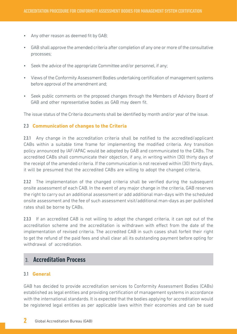- Any other reason as deemed fit by GAB;
- GAB shall approve the amended criteria after completion of any one or more of the consultative processes;
- Seek the advice of the appropriate Committee and/or personnel, if any;
- Views of the Conformity Assessment Bodies undertaking certification of management systems before approval of the amendment and;
- Seek public comments on the proposed changes through the Members of Advisory Board of GAB and other representative bodies as GAB may deem fit.

The issue status of the Criteria documents shall be identified by month and/or year of the issue.

#### 2.3 **Communication of changes to the Criteria**

2.3.1 Any change in the accreditation criteria shall be notified to the accredited/applicant CABs within a suitable time frame for implementing the modified criteria. Any transition policy announced by IAF/APAC would be adopted by GAB and communicated to the CABs. The accredited CABs shall communicate their objection, if any, in writing within (30) thirty days of the receipt of the amended criteria. If the communication is not received within (30) thirty days, it will be presumed that the accredited CABs are willing to adopt the changed criteria.

2.3.2 The implementation of the changed criteria shall be verified during the subsequent onsite assessment of each CAB. In the event of any major change in the criteria, GAB reserves the right to carry out an additional assessment or add additional man-days with the scheduled onsite assessment and the fee of such assessment visit/additional man-days as per published rates shall be borne by CABs.

2.3.3 If an accredited CAB is not willing to adopt the changed criteria, it can opt out of the accreditation scheme and the accreditation is withdrawn with effect from the date of the implementation of revised criteria. The accredited CAB in such cases shall forfeit their right to get the refund of the paid fees and shall clear all its outstanding payment before opting for withdrawal of accreditation.

# 3. **Accreditation Process**

#### 3.1 **General**

GAB has decided to provide accreditation services to Conformity Assessment Bodies (CABs) established as legal entities and providing certification of management systems in accordance with the international standards. It is expected that the bodies applying for accreditation would be registered legal entities as per applicable laws within their economies and can be sued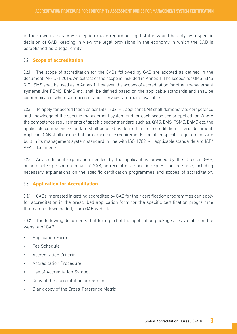in their own names. Any exception made regarding legal status would be only by a specific decision of GAB, keeping in view the legal provisions in the economy in which the CAB is established as a legal entity.

#### 3.2 **Scope of accreditation**

3.2.1 The scope of accreditation for the CABs followed by GAB are adopted as defined in the document IAF-ID-1:2014. An extract of the scope is included in Annex 1. The scopes for QMS, EMS & OHSMS shall be used as in Annex 1. However, the scopes of accreditation for other management systems like FSMS, EnMS etc. shall be defined based on the applicable standards and shall be communicated when such accreditation services are made available.

3.2.2 To apply for accreditation as per ISO 17021-1, applicant CAB shall demonstrate competence and knowledge of the specific management system and for each scope sector applied for. Where the competence requirements of specific sector standard such as, QMS, EMS, FSMS, EnMS etc. the applicable competence standard shall be used as defined in the accreditation criteria document. Applicant CAB shall ensure that the competence requirements and other specific requirements are built in its management system standard in line with ISO 17021-1, applicable standards and IAF/ APAC documents.

3.2.3 Any additional explanation needed by the applicant is provided by the Director, GAB, or nominated person on behalf of GAB, on receipt of a specific request for the same, including necessary explanations on the specific certification programmes and scopes of accreditation.

#### 3.3 **Application for Accreditation**

3.3.1 CABs interested in getting accredited by GAB for their certification programmes can apply for accreditation in the prescribed application form for the specific certification programme that can be downloaded, from GAB website.

3.3.2 The following documents that form part of the application package are available on the website of GAB:

- Application Form
- Fee Schedule
- Accreditation Criteria
- Accreditation Procedure
- Use of Accreditation Symbol
- Copy of the accreditation agreement
- Blank copy of the Cross-Reference Matrix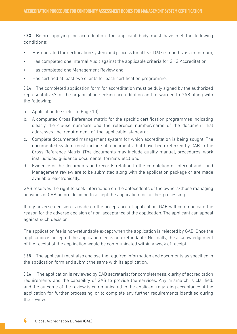3.3.3 Before applying for accreditation, the applicant body must have met the following conditions:

- Has operated the certification system and process for at least (6) six months as a minimum;
- Has completed one Internal Audit against the applicable criteria for GHG Accreditation;
- Has completed one Management Review and;
- Has certified at least two clients for each certification programme.

3.3.4 The completed application form for accreditation must be duly signed by the authorized representative/s of the organization seeking accreditation and forwarded to GAB along with the following;

- a. Application fee (refer to Page 10);
- b. A completed Cross Reference matrix for the specific certification programmes indicating clearly the clause numbers and the reference number/name of the document that addresses the requirement of the applicable standard;
- c. Complete documented management system for which accreditation is being sought. The documented system must include all documents that have been referred by CAB in the Cross-Reference Matrix. (The documents may include quality manual, procedures, work instructions, guidance documents, formats etc.) and;
- d. Evidence of the documents and records relating to the completion of internal audit and Management review are to be submitted along with the application package or are made available electronically.

GAB reserves the right to seek information on the antecedents of the owners/those managing activities of CAB before deciding to accept the application for further processing.

If any adverse decision is made on the acceptance of application, GAB will communicate the reason for the adverse decision of non-acceptance of the application. The applicant can appeal against such decision.

The application fee is non-refundable except when the application is rejected by GAB. Once the application is accepted the application fee is non-refundable. Normally, the acknowledgement of the receipt of the application would be communicated within a week of receipt.

3.3.5 The applicant must also enclose the required information and documents as specified in the application form and submit the same with its application.

3.3.6 The application is reviewed by GAB secretariat for completeness, clarity of accreditation requirements and the capability of GAB to provide the services. Any mismatch is clarified, and the outcome of the review is communicated to the applicant regarding acceptance of the application for further processing, or to complete any further requirements identified during the review.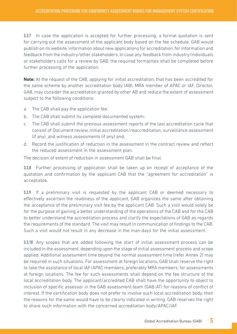3.3.7 In case the application is accepted for further processing, a formal quotation is sent for carrying out the assessment of the applicant body based on the fee schedule. GAB would publish on its website, information about new applications for accreditation, for information and feedback from the industry/other stakeholders. In case any feedback from industry/individuals or stakeholders calls for a review by GAB, the required formalities shall be completed before further processing of the application.

**Note:** At the request of the CAB, applying for initial accreditation, that has been accredited for the same scheme by another accreditation body (AB), MRA member of APAC or IAF, Director, GAB, may consider the accreditation granted by other AB and reduce the extent of assessment subject to the following conditions:

- a. The CAB shall pay the application fee;
- b. The CAB shall submit its complete documented system;
- c. The CAB shall submit the previous assessment reports of the last accreditation cycle that consist of Document review, initial accreditation/reaccreditation, surveillance assessment (if any), and witness assessments (if any) and;
- d. Record the justification of reduction in the assessment in the contract review and reflect the reduced assessment in the assessment plan.

The decision of extent of reduction in assessment GAB shall be final.

3.3.8 Further processing of application shall be taken up on receipt of acceptance of the quotation and confirmation by the applicant CAB that the "agreement for accreditation" is acceptable.

3.3.9 If a preliminary visit is requested by the applicant CAB or deemed necessary to effectively ascertain the readiness of the applicant, GAB organizes the same after obtaining the acceptance of the preliminary visit fee by the applicant CAB. Such a visit would solely be for the purpose of gaining a better understanding of the operations of the CAB and for the CAB to better understand the accreditation process and clarify the expectations of GAB as regards the requirements of the standard. The visit may result in communication of findings to the CAB. Such a visit would not result in any decrease in the man-days for the initial assessment.

3.3.10 Any scopes that are added following the start of initial assessment process can be included in the assessment, depending upon the stage of initial assessment process and scope applied. Additional assessment time beyond the normal assessment time (refer Annex 2) may be required in such situations. For assessment at foreign locations, GAB shall reserve the right to take the assistance of local IAF/APAC members, preferably MRA members, for assessments at foreign locations. The fee for such assessments shall depend on the fee structure of the local accreditation body. The applicant/accredited CAB shall have the opportunity to object to inclusion of specific assessor in the GAB assessment team (GAB-AT) for reasons of conflict of interest. If the certification body does not prefer to involve such local accreditation body, then the reasons for the same would have to be clearly indicated in writing. GAB reserves the right to share such information with the concerned accreditation body/APAC/IAF.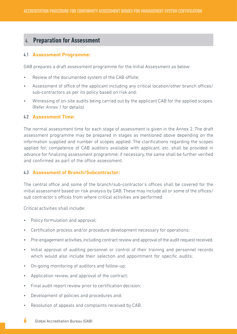## 4. **Preparation for Assessment**

#### 4.1 **Assessment Programme:**

GAB prepares a draft assessment programme for the Initial Assessment as below:

- Review of the documented system of the CAB offsite;
- Assessment of office of the applicant including any critical location/other branch offices/ sub-contractors as per its policy based on risk and;
- Witnessing of on-site audits being carried out by the applicant CAB for the applied scopes. (Refer *Annex 1* for details)

#### 4.2 **Assessment Time:**

The normal assessment time for each stage of assessment is given in the Annex 2. The draft assessment programme may be prepared in stages as mentioned above depending on the information supplied and number of scopes applied. The clarifications regarding the scopes applied for, competence of CAB auditors available with applicant, etc. shall be provided in advance for finalizing assessment programme; if necessary, the same shall be further verified and confirmed as part of the office assessment.

#### 4.3 **Assessment of Branch/Subcontractor:**

The central office and some of the branch/sub-contractor's offices shall be covered for the initial assessment based on risk analysis by GAB. These may include all or some of the offices/ sub contractor's offices from where critical activities are performed.

Critical activities shall include:

- Policy formulation and approval;
- Certification process and/or procedure development necessary for operations;
- Pre-engagement activities, including contract review and approval of the audit request received.
- Initial approval of auditing personnel or control of their training and personnel records which would also include their selection and appointment for specific audits;
- On-going monitoring of auditors and follow-up;
- Application review, and approval of the contract;
- Final audit report review prior to certification decision;
- Development of policies and procedures and;
- Resolution of appeals and complaints received by CAB.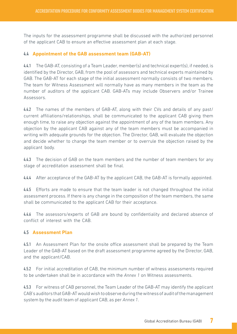The inputs for the assessment programme shall be discussed with the authorized personnel of the applicant CAB to ensure an effective assessment plan at each stage.

#### 4.4 **Appointment of the GAB assessment team (GAB-AT)**

4.4.1 The GAB-AT, consisting of a Team Leader, member(s) and technical expert(s), if needed, is identified by the Director, GAB, from the pool of assessors and technical experts maintained by GAB. The GAB-AT for each stage of the initial assessment normally consists of two members. The team for Witness Assessment will normally have as many members in the team as the number of auditors of the applicant CAB. GAB-ATs may include Observers and/or Trainee Assessors.

4.4.2 The names of the members of GAB-AT, along with their CVs and details of any past/ current affiliations/relationships, shall be communicated to the applicant CAB giving them enough time, to raise any objection against the appointment of any of the team members. Any objection by the applicant CAB against any of the team members must be accompanied in writing with adequate grounds for the objection. The Director, GAB, will evaluate the objection and decide whether to change the team member or to overrule the objection raised by the applicant body.

4.4.3 The decision of GAB on the team members and the number of team members for any stage of accreditation assessment shall be final.

4.4.4 After acceptance of the GAB-AT by the applicant CAB, the GAB-AT is formally appointed.

4.4.5 Efforts are made to ensure that the team leader is not changed throughout the initial assessment process. If there is any change in the composition of the team members, the same shall be communicated to the applicant CAB for their acceptance.

4.4.6 The assessors/experts of GAB are bound by confidentiality and declared absence of conflict of interest with the CAB.

#### 4.5 **Assessment Plan**

4.5.1 An Assessment Plan for the onsite office assessment shall be prepared by the Team Leader of the GAB-AT based on the draft assessment programme agreed by the Director, GAB, and the applicant/CAB.

4.5.2 For initial accreditation of CAB, the minimum number of witness assessments required to be undertaken shall be in accordance with the *Annex 1* on Witness assessments.

4.5.3 For witness of CAB personnel, the Team Leader of the GAB-AT may identify the applicant CAB's auditors that GAB-AT would wish to observe during the witness of audit of the management system by the audit team of applicant CAB, as per *Annex 1*.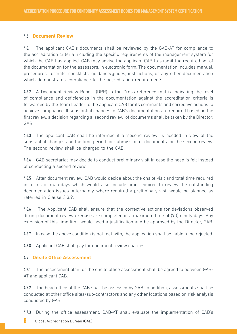#### 4.6 **Document Review**

4.6.1 The applicant CAB's documents shall be reviewed by the GAB-AT for compliance to the accreditation criteria including the specific requirements of the management system for which the CAB has applied. GAB may advise the applicant CAB to submit the required set of the documentation for the assessors, in electronic form. The documentation includes manual, procedures, formats, checklists, guidance/guides, instructions, or any other documentation which demonstrates compliance to the accreditation requirements.

4.6.2 A Document Review Report (DRR) in the Cross-reference matrix indicating the level of compliance and deficiencies in the documentation against the accreditation criteria is forwarded by the Team Leader to the applicant CAB for its comments and corrective actions to achieve compliance. If substantial changes in CAB's documentation are required based on the first review, a decision regarding a 'second review' of documents shall be taken by the Director, GAB.

4.6.3 The applicant CAB shall be informed if a 'second review' is needed in view of the substantial changes and the time period for submission of documents for the second review. The second review shall be charged to the CAB.

4.6.4 GAB secretariat may decide to conduct preliminary visit in case the need is felt instead of conducting a second review.

4.6.5 After document review, GAB would decide about the onsite visit and total time required in terms of man-days which would also include time required to review the outstanding documentation issues. Alternately, where required a preliminary visit would be planned as referred in Clause 3.3.9.

4.6.6 The Applicant CAB shall ensure that the corrective actions for deviations observed during document review exercise are completed in a maximum time of (90) ninety days. Any extension of this time limit would need a justification and be approved by the Director, GAB.

4.6.7 In case the above condition is not met with, the application shall be liable to be rejected.

4.6.8 Applicant CAB shall pay for document review charges.

#### 4.7 **Onsite Office Assessment**

4.7.1 The assessment plan for the onsite office assessment shall be agreed to between GAB-AT and applicant CAB.

4.7.2 The head office of the CAB shall be assessed by GAB. In addition, assessments shall be conducted at other office sites/sub-contractors and any other locations based on risk analysis conducted by GAB.

4.7.3 During the office assessment, GAB-AT shall evaluate the implementation of CAB's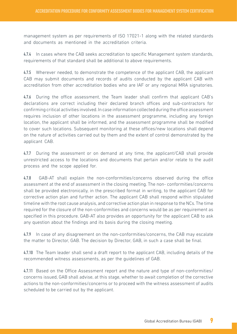management system as per requirements of ISO 17021-1 along with the related standards and documents as mentioned in the accreditation criteria.

4.7.4 In cases where the CAB seeks accreditation to specific Management system standards, requirements of that standard shall be additional to above requirements.

4.7.5 Wherever needed, to demonstrate the competence of the applicant CAB, the applicant CAB may submit documents and records of audits conducted by the applicant CAB with accreditation from other accreditation bodies who are IAF or any regional MRA signatories.

4.7.6 During the office assessment, the Team leader shall confirm that applicant CAB's declarations are correct including their declared branch offices and sub-contractors for confirming critical activities involved. In case information collected during the office assessment requires inclusion of other locations in the assessment programme, including any foreign location, the applicant shall be informed, and the assessment programme shall be modified to cover such locations. Subsequent monitoring at these offices/new locations shall depend on the nature of activities carried out by them and the extent of control demonstrated by the applicant CAB.

4.7.7 During the assessment or on demand at any time, the applicant/CAB shall provide unrestricted access to the locations and documents that pertain and/or relate to the audit process and the scope applied for.

4.7.8 GAB-AT shall explain the non-conformities/concerns observed during the office assessment at the end of assessment in the closing meeting. The non- conformities/concerns shall be provided electronically, in the prescribed format in writing, to the applicant CAB for corrective action plan and further action. The applicant CAB shall respond within stipulated timeline with the root cause analysis, and corrective action plan in response to the NCs. The time required for the closure of the non-conformities and concerns would be as per requirement as specified in this procedure. GAB-AT also provides an opportunity for the applicant CAB to ask any question about the findings and its basis during the closing meeting.

4.7.9 In case of any disagreement on the non-conformities/concerns, the CAB may escalate the matter to Director, GAB. The decision by Director, GAB, in such a case shall be final.

4.7.10 The Team leader shall send a draft report to the applicant CAB, including details of the recommended witness assessments, as per the guidelines of GAB.

4.7.11 Based on the Office Assessment report and the nature and type of non-conformities/ concerns issued, GAB shall advise, at this stage, whether to await completion of the corrective actions to the non-conformities/concerns or to proceed with the witness assessment of audits scheduled to be carried out by the applicant.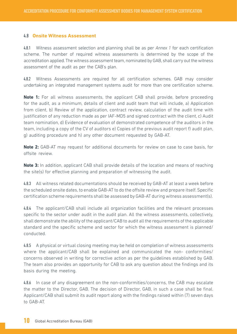#### 4.8 **Onsite Witness Assessment**

4.8.1 Witness assessment selection and planning shall be as per *Annex 1* for each certification scheme. The number of required witness assessments is determined by the scope of the accreditation applied. The witness assessment team, nominated by GAB, shall carry out the witness assessment of the audit as per the CAB's plan.

4.8.2 Witness Assessments are required for all certification schemes. GAB may consider undertaking an integrated management systems audit for more than one certification scheme.

**Note 1:** For all witness assessments, the applicant CAB shall provide, before proceeding for the audit, as a minimum, details of client and audit team that will include, a) Application from client, b) Review of the application, contract review, calculation of the audit time with justification of any reduction made as per IAF-MD5 and signed contract with the client, c) Audit team nomination, d) Evidence of evaluation of demonstrated competence of the auditors in the team, including a copy of the CV of auditors e) Copies of the previous audit report f) audit plan, g) auditing procedure and h) any other document requested by GAB-AT.

**Note 2:** GAB-AT may request for additional documents for review on case to case basis, for offsite review.

**Note 3:** In addition, applicant CAB shall provide details of the location and means of reaching the site(s) for effective planning and preparation of witnessing the audit.

4.8.3 All witness related documentations should be received by GAB-AT at least a week before the scheduled onsite dates, to enable GAB-AT to do the offsite review and prepare itself. Specific certification scheme requirements shall be assessed by GAB-AT during witness assessment(s).

4.8.4 The applicant/CAB shall include all organization facilities and the relevant processes specific to the sector under audit in the audit plan. All the witness assessments, collectively, shall demonstrate the ability of the applicant/CAB to audit all the requirements of the applicable standard and the specific scheme and sector for which the witness assessment is planned/ conducted.

4.8.5 A physical or virtual closing meeting may be held on completion of witness assessments where the applicant/CAB shall be explained and communicated the non- conformities/ concerns observed in writing for corrective action as per the guidelines established by GAB. The team also provides an opportunity for CAB to ask any question about the findings and its basis during the meeting.

4.8.6 In case of any disagreement on the non-conformities/concerns, the CAB may escalate the matter to the Director, GAB. The decision of Director, GAB, in such a case shall be final. Applicant/CAB shall submit its audit report along with the findings raised within (7) seven days to GAB-AT.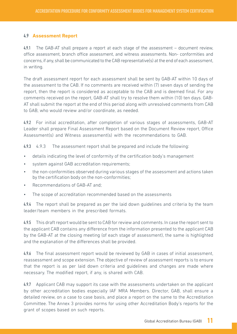#### 4.9 **Assessment Report**

4.9.1 The GAB-AT shall prepare a report at each stage of the assessment – document review, office assessment, branch office assessment, and witness assessments. Non- conformities and concerns, if any, shall be communicated to the CAB representative(s) at the end of each assessment, in writing.

The draft assessment report for each assessment shall be sent by GAB-AT within 10 days of the assessment to the CAB. If no comments are received within (7) seven days of sending the report, then the report is considered as acceptable to the CAB and is deemed final. For any comments received on the report, GAB-AT shall try to resolve them within (10) ten days. GAB-AT shall submit the report at the end of this period along with unresolved comments from CAB to GAB, who would review and/or coordinate, as needed.

4.9.2 For initial accreditation, after completion of various stages of assessments, GAB-AT Leader shall prepare Final Assessment Report based on the Document Review report, Office Assessment(s) and Witness assessment(s) with the recommendations to GAB.

4.9.3 4.9.3 The assessment report shall be prepared and include the following:

- details indicating the level of conformity of the certification body's management
- system against GAB accreditation requirements;
- the non-conformities observed during various stages of the assessment and actions taken by the certification body on the non-conformities;
- Recommendations of GAB-AT and;
- The scope of accreditation recommended based on the assessments

4.9.4 The report shall be prepared as per the laid down guidelines and criteria by the team leader/team members in the prescribed formats.

4.9.5 This draft report would be sent to CAB for review and comments. In case the report sent to the applicant CAB contains any difference from the information presented to the applicant CAB by the GAB-AT at the closing meeting (of each stage of assessment), the same is highlighted and the explanation of the differences shall be provided.

4.9.6 The final assessment report would be reviewed by GAB in cases of initial assessment, reassessment and scope extension. The objective of review of assessment reports is to ensure that the report is as per laid down criteria and guidelines and changes are made where necessary. The modified report, if any, is shared with CAB.

4.9.7 Applicant CAB may support its case with the assessments undertaken on the applicant by other accreditation bodies especially IAF MRA Members. Director, GAB, shall ensure a detailed review, on a case to case basis, and place a report on the same to the Accreditation Committee. The Annex 3 provides norms for using other Accreditation Body's reports for the grant of scopes based on such reports.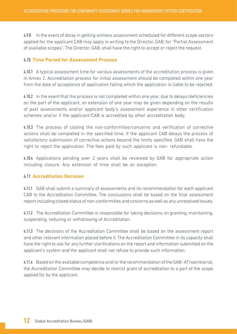4.9.8 In the event of delay in getting witness assessment scheduled for different scope sectors applied for, the applicant CAB may apply in writing to the Director, GAB, for "Partial Assessment of available scopes". The Director, GAB, shall have the right to accept or reject the request.

#### 4.10 **Time Period for Assessment Process**

4.10.1 A typical assessment time for various assessments of the accreditation process is given in Annex 2. Accreditation process for initial assessment should be completed within one year from the date of acceptance of application failing which the application is liable to be rejected.

4.10.2 In the event that the process is not completed within one year, due to delays/deficiencies on the part of the applicant, an extension of one year may be given depending on the results of past assessments and/or applicant body's assessment experience in other certification schemes and/or if the applicant/CAB is accredited by other accreditation body.

4.10.3 The process of closing the non-conformities/concerns and verification of corrective actions shall be completed in the specified time. If the applicant CAB delays the process of satisfactory submission of corrective actions beyond the limits specified, GAB shall have the right to reject the application. The fees paid by such applicant is non- refundable.

4.10.4 Applications pending over 2 years shall be reviewed by GAB for appropriate action including closure. Any extension of time shall be an exception.

#### 4.11 **Accreditation Decision**

4.11.1 GAB shall submit a summary of assessments and its recommendation for each applicant CAB to the Accreditation Committee. The conclusions shall be based on the final assessment report including closed status of non-conformities and concerns as well as any unresolved issues.

4.11.2 The Accreditation Committee is responsible for taking decisions on granting, maintaining, suspending, reducing or withdrawing of Accreditation.

4.11.3 The decisions of the Accreditation Committee shall be based on the assessment report and other relevant information placed before it. The Accreditation Committee in its capacity shall have the right to ask for any further clarifications on the report and information submitted on the applicant's system and the applicant shall not refuse to provide such information.

4.11.4 Based on the available competence and/or the recommendation of the GAB- AT/secretariat, the Accreditation Committee may decide to restrict grant of accreditation to a part of the scope applied for by the applicant.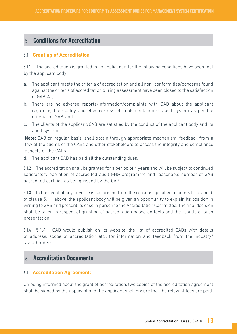# 5. **Conditions for Accreditation**

#### 5.1 **Granting of Accreditation**

5.1.1 The accreditation is granted to an applicant after the following conditions have been met by the applicant body:

- a. The applicant meets the criteria of accreditation and all non- conformities/concerns found against the criteria of accreditation during assessment have been closed to the satisfaction of GAB-AT;
- b. There are no adverse reports/information/complaints with GAB about the applicant regarding the quality and effectiveness of implementation of audit system as per the criteria of GAB and;
- c. The clients of the applicant/CAB are satisfied by the conduct of the applicant body and its audit system.

**Note:** GAB on regular basis, shall obtain through appropriate mechanism, feedback from a few of the clients of the CABs and other stakeholders to assess the integrity and compliance aspects of the CABs.

d. The applicant CAB has paid all the outstanding dues.

5.1.2 The accreditation shall be granted for a period of 4 years and will be subject to continued satisfactory operation of accredited audit GHG programme and reasonable number of GAB accredited certificates being issued by the CAB.

5.1.3 In the event of any adverse issue arising from the reasons specified at points b., c. and d. of clause 5.1.1 above, the applicant body will be given an opportunity to explain its position in writing to GAB and present its case in person to the Accreditation Committee. The final decision shall be taken in respect of granting of accreditation based on facts and the results of such presentation.

5.1.4 5.1.4 GAB would publish on its website, the list of accredited CABs with details of address, scope of accreditation etc., for information and feedback from the industry/ stakeholders.

# 6. **Accreditation Documents**

#### 6.1 **Accreditation Agreement:**

On being informed about the grant of accreditation, two copies of the accreditation agreement shall be signed by the applicant and the applicant shall ensure that the relevant fees are paid.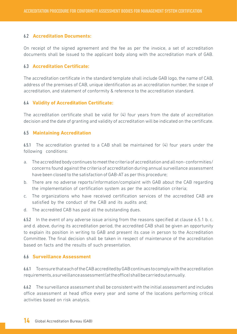#### 6.2 **Accreditation Documents:**

On receipt of the signed agreement and the fee as per the invoice, a set of accreditation documents shall be issued to the applicant body along with the accreditation mark of GAB.

#### 6.3 **Accreditation Certificate:**

The accreditation certificate in the standard template shall include GAB logo, the name of CAB, address of the premises of CAB, unique identification as an accreditation number, the scope of accreditation, and statement of conformity & reference to the accreditation standard.

#### 6.4 **Validity of Accreditation Certificate:**

The accreditation certificate shall be valid for (4) four years from the date of accreditation decision and the date of granting and validity of accreditation will be indicated on the certificate.

#### 6.5 **Maintaining Accreditation**

6.5.1 The accreditation granted to a CAB shall be maintained for (4) four years under the following conditions:

- a. The accredited body continues to meet the criteria of accreditation and all non- conformities/ concerns found against the criteria of accreditation during annual surveillance assessment have been closed to the satisfaction of GAB-AT as per this procedure;
- b. There are no adverse reports/information/complaint with GAB about the CAB regarding the implementation of certification system as per the accreditation criteria;
- c. The organizations who have received certification services of the accredited CAB are satisfied by the conduct of the CAB and its audits and;
- d. The accredited CAB has paid all the outstanding dues.

6.5.2 In the event of any adverse issue arising from the reasons specified at clause 6.5.1 b. c. and d. above, during its accreditation period, the accredited CAB shall be given an opportunity to explain its position in writing to GAB and present its case in person to the Accreditation Committee. The final decision shall be taken in respect of maintenance of the accreditation based on facts and the results of such presentation.

#### 6.6 **Surveillance Assessment**

6.6.1 To ensure that each of the CAB accredited by GAB continues to comply with the accreditation requirements, a surveillance assessment (at the office) shall be carried out annually.

6.6.2 The surveillance assessment shall be consistent with the initial assessment and includes office assessment at head office every year and some of the locations performing critical activities based on risk analysis.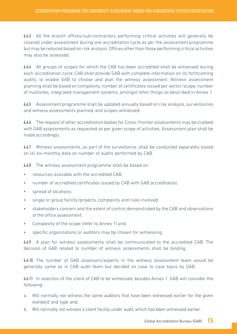6.6.3 All the branch offices/sub-contractors performing critical activities will generally be covered under assessment during one accreditation cycle as per the assessment programme but may be reduced based on risk analysis. Offices other than those performing critical activities may also be assessed.

6.6.4 All groups of scopes for which the CAB has been accredited shall be witnessed during each accreditation cycle. CAB shall provide GAB with complete information on its forthcoming audits, to enable GAB to choose and plan the witness assessment. Witness assessment planning shall be based on complexity, number of certificates issued per sector/scope, number of multisites, integrated management systems, amongst other things as described in Annex 1.

6.6.5 Assessment programme shall be updated annually based on risk analysis, surveillances and witness assessments planned, and scopes witnessed.

6.6.6 The request of other accreditation bodies for Cross-frontier assessments may be clubbed with GAB assessments as requested as per given scope of activities. Assessment plan shall be made accordingly.

6.6.7 Witness assessments, as part of the surveillance, shall be conducted separately based on (6) six-monthly data on number of audits performed by CAB.

6.6.8 The witness assessment programme shall be based on:

- resources available with the accredited CAB;
- number of accredited certificates issued by CAB with GAB accreditation;
- spread of locations:
- single or group facility/projects, complexity and risks involved;
- stakeholders concern and the extent of control demonstrated by the CAB and observations of the office assessment;
- Complexity of the scope (refer to Annex 1) and:
- specific organizations or auditors may be chosen for witnessing.

6.6.9 A plan for witness assessments shall be communicated to the accredited CAB. The decision of GAB related to number of witness assessments shall be binding.

6.6.10 The number of GAB assessors/experts in the witness assessment team would be generally same as in CAB audit team but decided on case to case basis by GAB.

6.6.11 In selection of the client of CAB to be witnessed, besides Annex 1, GAB will consider the following:

- a. Will normally not witness the same auditors that have been witnessed earlier for the given standard and type and;
- b. Will normally not witness a client facility under audit, which has been witnessed earlier.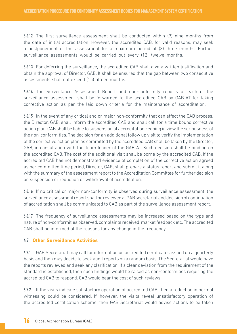6.6.12 The first surveillance assessment shall be conducted within (9) nine months from the date of initial accreditation. However, the accredited CAB, for valid reasons, may seek a postponement of the assessment for a maximum period of (3) three months. Further surveillance assessments would be carried out every (12) twelve months.

6.6.13 For deferring the surveillance, the accredited CAB shall give a written justification and obtain the approval of Director, GAB. It shall be ensured that the gap between two consecutive assessments shall not exceed (15) fifteen months.

6.6.14 The Surveillance Assessment Report and non-conformity reports of each of the surveillance assessment shall be forwarded to the accredited CAB by GAB-AT for taking corrective action as per the laid down criteria for the maintenance of accreditation.

6.6.15 In the event of any critical and or major non-conformity that can affect the CAB process, the Director, GAB, shall inform the accredited CAB and shall call for a time bound corrective action plan. CAB shall be liable to suspension of accreditation keeping in view the seriousness of the non-conformities. The decision for an additional follow up visit to verify the implementation of the corrective action plan as committed by the accredited CAB shall be taken by the Director, GAB, in consultation with the Team leader of the GAB-AT. Such decision shall be binding on the accredited CAB. The cost of the additional visit shall be borne by the accredited CAB. If the accredited CAB has not demonstrated evidence of completion of the corrective action agreed as per committed time period, Director, GAB, shall prepare a status report and submit it along with the summary of the assessment report to the Accreditation Committee for further decision on suspension or reduction or withdrawal of accreditation.

6.6.16 If no critical or major non-conformity is observed during surveillance assessment, the surveillance assessment report shall be reviewed at GAB secretariat and decision of continuation of accreditation shall be communicated to CAB as part of the surveillance assessment report.

6.6.17 The frequency of surveillance assessments may be increased based on the type and nature of non-conformities observed, complaints received, market feedback etc. The accredited CAB shall be informed of the reasons for any change in the frequency.

#### 6.7 **Other Surveillance Activities**

6.7.1 GAB Secretariat may call for information on accredited certificates issued on a quarterly basis and then may decide to seek audit reports on a random basis. The Secretariat would have the reports reviewed and seek any clarification. If a clear deviation from the requirement of the standard is established, then such findings would be raised as non-conformities requiring the accredited CAB to respond. CAB would bear the cost of such reviews.

6.7.2 If the visits indicate satisfactory operation of accredited CAB, then a reduction in normal witnessing could be considered. If, however, the visits reveal unsatisfactory operation of the accredited certification scheme, then GAB Secretariat would advise actions to be taken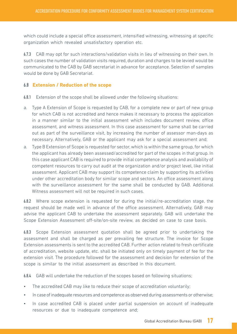which could include a special office assessment, intensified witnessing, witnessing at specific organization which revealed unsatisfactory operation etc.

6.7.3 CAB may opt for such interactions/validation visits in lieu of witnessing on their own. In such cases the number of validation visits required, duration and charges to be levied would be communicated to the CAB by GAB secretariat in advance for acceptance. Selection of samples would be done by GAB Secretariat.

#### 6.8 **Extension / Reduction of the scope**

6.8.1 Extension of the scope shall be allowed under the following situations:

- a. Type A Extension of Scope is requested by CAB, for a complete new or part of new group for which CAB is not accredited and hence makes it necessary to process the application in a manner similar to the initial assessment which includes document review, office assessment, and witness assessment. In this case assessment for same shall be carried out as part of the surveillance visit, by increasing the number of assessor man-days as necessary. Alternatively, GAB or the applicant may ask for a special assessment and;
- a. Type B Extension of Scope is requested for sector, which is within the same group, for which the applicant has already been assessed/accredited for part of the scopes in that group. In this case applicant CAB is required to provide initial competence analysis and availability of competent resources to carry out audit at the organization and/or project level, like initial assessment. Applicant CAB may support its competence claim by supporting its activities under other accreditation body for similar scope and sectors. An office assessment along with the surveillance assessment for the same shall be conducted by GAB. Additional Witness assessment will not be required in such cases.

6.8.2 Where scope extension is requested for during the initial/re-accreditation stage, the request should be made well in advance of the office assessment. Alternatively, GAB may advise the applicant CAB to undertake the assessment separately. GAB will undertake the Scope Extension Assessment off-site/on-site review, as decided on case to case basis.

6.8.3 Scope Extension assessment quotation shall be agreed prior to undertaking the assessment and shall be charged as per prevailing fee structure. The invoice for Scope Extension assessments is sent to the accredited CAB. Further action related to fresh certificate of accreditation, website update, etc. shall be initiated only on timely payment of fee for the extension visit. The procedure followed for the assessment and decision for extension of the scope is similar to the initial assessment as described in this document.

6.8.4 GAB will undertake the reduction of the scopes based on following situations;

- The accredited CAB may like to reduce their scope of accreditation voluntarily;
- In case of inadequate resources and competence as observed during assessments or otherwise;
- In case accredited CAB is placed under partial suspension on account of inadequate resources or due to inadequate competence and;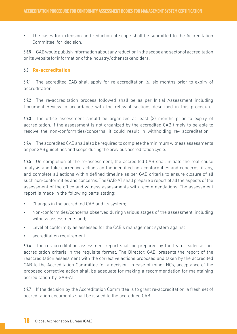• The cases for extension and reduction of scope shall be submitted to the Accreditation Committee for decision.

6.8.5 GAB would publish information about any reduction in the scope and sector of accreditation on its website for information of the industry/other stakeholders.

#### 6.9 **Re-accreditation**

6.9.1 The accredited CAB shall apply for re-accreditation (6) six months prior to expiry of accreditation.

6.9.2 The re-accreditation process followed shall be as per Initial Assessment including Document Review in accordance with the relevant sections described in this procedure.

6.9.3 The office assessment should be organized at least (3) months prior to expiry of accreditation. If the assessment is not organized by the accredited CAB timely to be able to resolve the non-conformities/concerns, it could result in withholding re- accreditation.

6.9.4 The accredited CAB shall also be required to complete the minimum witness assessments as per GAB guidelines and scope during the previous accreditation cycle.

6.9.5 On completion of the re-assessment, the accredited CAB shall initiate the root cause analysis and take corrective actions on the identified non-conformities and concerns, if any, and complete all actions within defined timeline as per GAB criteria to ensure closure of all such non-conformities and concerns. The GAB-AT shall prepare a report of all the aspects of the assessment of the office and witness assessments with recommendations. The assessment report is made in the following parts stating:

- Changes in the accredited CAB and its system;
- Non-conformities/concerns observed during various stages of the assessment, including witness assessments and;
- Level of conformity as assessed for the CAB's management system against
- accreditation requirement.

6.9.6 The re-accreditation assessment report shall be prepared by the team leader as per accreditation criteria in the requisite format. The Director, GAB, presents the report of the reaccreditation assessment with the corrective actions proposed and taken by the accredited CAB to the Accreditation Committee for a decision. In case of minor NCs, acceptance of the proposed corrective action shall be adequate for making a recommendation for maintaining accreditation by GAB-AT.

6.9.7 If the decision by the Accreditation Committee is to grant re-accreditation, a fresh set of accreditation documents shall be issued to the accredited CAB.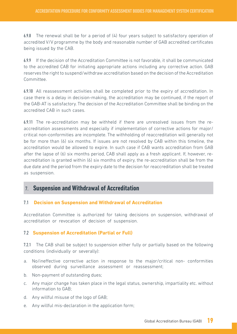6.9.8 The renewal shall be for a period of  $(4)$  four years subject to satisfactory operation of accredited V/V programme by the body and reasonable number of GAB accredited certificates being issued by the CAB.

6.9.9 If the decision of the Accreditation Committee is not favorable, it shall be communicated to the accredited CAB for initiating appropriate actions including any corrective action. GAB reserves the right to suspend/withdraw accreditation based on the decision of the Accreditation Committee.

6.9.10 All reassessment activities shall be completed prior to the expiry of accreditation. In case there is a delay in decision-making, the accreditation may be continued, if the report of the GAB-AT is satisfactory. The decision of the Accreditation Committee shall be binding on the accredited CAB in such cases.

6.9.11 The re-accreditation may be withheld if there are unresolved issues from the reaccreditation assessments and especially if implementation of corrective actions for major/ critical non-conformities are incomplete. The withholding of reaccreditation will generally not be for more than (6) six months. If issues are not resolved by CAB within this timeline, the accreditation would be allowed to expire. In such case if CAB wants accreditation from GAB after the lapse of (6) six months period, CAB shall apply as a fresh applicant. If, however, reaccreditation is granted within (6) six months of expiry, the re-accreditation shall be from the due date and the period from the expiry date to the decision for reaccreditation shall be treated as suspension.

## 7. **Suspension and Withdrawal of Accreditation**

#### 7.1 **Decision on Suspension and Withdrawal of Accreditation**

Accreditation Committee is authorized for taking decisions on suspension, withdrawal of accreditation or revocation of decision of suspension.

#### 7.2 **Suspension of Accreditation (Partial or Full)**

7.2.1 The CAB shall be subject to suspension either fully or partially based on the following conditions (individually or severally):

- a. No/ineffective corrective action in response to the major/critical non- conformities observed during surveillance assessment or reassessment;
- b. Non-payment of outstanding dues;
- c. Any major change has taken place in the legal status, ownership, impartiality etc. without information to GAB;
- d. Any willful misuse of the logo of GAB;
- e. Any willful mis-declaration in the application form;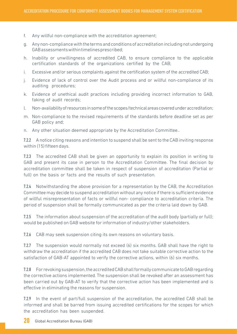- f. Any willful non-compliance with the accreditation agreement;
- g. Any non-compliance with the terms and conditions of accreditation including not undergoing GAB assessments within timelines prescribed;
- h. Inability or unwillingness of accredited CAB, to ensure compliance to the applicable certification standards of the organizations certified by the CAB;
- i. Excessive and/or serious complaints against the certification system of the accredited CAB;
- j. Evidence of lack of control over the Audit process and or willful non-compliance of its auditing procedures;
- k. Evidence of unethical audit practices including providing incorrect information to GAB, faking of audit records;
- l. Non-availability of resources in some of the scopes/technical areas covered under accreditation;
- m. Non-compliance to the revised requirements of the standards before deadline set as per GAB policy and;
- n. Any other situation deemed appropriate by the Accreditation Committee..

7.2.2 A notice citing reasons and intention to suspend shall be sent to the CAB inviting response within (15) fifteen days.

7.2.3 The accredited CAB shall be given an opportunity to explain its position in writing to GAB and present its case in person to the Accreditation Committee. The final decision by accreditation committee shall be taken in respect of suspension of accreditation (Partial or full) on the basis or facts and the results of such presentation.

7.2.4 Notwithstanding the above provision for a representation by the CAB, the Accreditation Committee may decide to suspend accreditation without any notice if there is sufficient evidence of willful misrepresentation of facts or willful non- compliance to accreditation criteria. The period of suspension shall be formally communicated as per the criteria laid down by GAB.

7.2.5 The information about suspension of the accreditation of the audit body (partially or full); would be published on GAB website for information of industry/other stakeholders.

7.2.6 CAB may seek suspension citing its own reasons on voluntary basis.

7.2.7 The suspension would normally not exceed (6) six months. GAB shall have the right to withdraw the accreditation if the accredited CAB does not take suitable corrective action to the satisfaction of GAB-AT appointed to verify the corrective actions, within (6) six months.

7.2.8 For revoking suspension, the accredited CAB shall formally communicate to GAB regarding the corrective actions implemented. The suspension shall be revoked after an assessment has been carried out by GAB-AT to verify that the corrective action has been implemented and is effective in eliminating the reasons for suspension.

7.2.9 In the event of part/full suspension of the accreditation, the accredited CAB shall be informed and shall be barred from issuing accredited certifications for the scopes for which the accreditation has been suspended.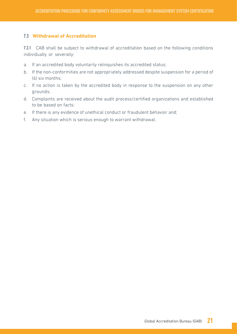#### 7.3 **Withdrawal of Accreditation**

7.3.1 CAB shall be subject to withdrawal of accreditation based on the following conditions individually or severally:

- a. If an accredited body voluntarily relinquishes its accredited status;
- b. If the non-conformities are not appropriately addressed despite suspension for a period of (6) six months;
- c. If no action is taken by the accredited body in response to the suspension on any other grounds;
- d. Complaints are received about the audit process/certified organizations and established to be based on facts;
- e. If there is any evidence of unethical conduct or fraudulent behavior and;
- f. Any situation which is serious enough to warrant withdrawal.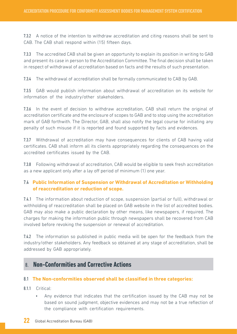7.3.2 A notice of the intention to withdraw accreditation and citing reasons shall be sent to CAB. The CAB shall respond within (15) fifteen days.

7.3.3 The accredited CAB shall be given an opportunity to explain its position in writing to GAB and present its case in person to the Accreditation Committee. The final decision shall be taken in respect of withdrawal of accreditation based on facts and the results of such presentation.

7.3.4 The withdrawal of accreditation shall be formally communicated to CAB by GAB.

7.3.5 GAB would publish information about withdrawal of accreditation on its website for information of the industry/other stakeholders.

7.3.6 In the event of decision to withdraw accreditation, CAB shall return the original of accreditation certificate and the enclosure of scopes to GAB and to stop using the accreditation mark of GAB forthwith. The Director, GAB, shall also notify the legal course for initiating any penalty of such misuse if it is reported and found supported by facts and evidences.

7.3.7 Withdrawal of accreditation may have consequences for clients of CAB having valid certificates. CAB shall inform all its clients appropriately regarding the consequences on the accredited certificates issued by the CAB.

7.3.8 Following withdrawal of accreditation, CAB would be eligible to seek fresh accreditation as a new applicant only after a lay off period of minimum (1) one year.

#### 7.4 **Public Information of Suspension or Withdrawal of Accreditation or Withholding of reaccreditation or reduction of scope.**

7.4.1 The information about reduction of scope, suspension (partial or full), withdrawal or withholding of reaccreditation shall be placed on GAB website in the list of accredited bodies. GAB may also make a public declaration by other means, like newspapers, if required. The charges for making the information public through newspapers shall be recovered from CAB involved before revoking the suspension or renewal of accreditation.

7.4.2 The information so published in public media will be open for the feedback from the industry/other stakeholders. Any feedback so obtained at any stage of accreditation, shall be addressed by GAB appropriately.

# 8. **Non-Conformities and Corrective Actions**

#### 8.1 **The Non-conformities observed shall be classified in three categories:**

- 8.1.1 Critical:
	- Any evidence that indicates that the certification issued by the CAB may not be based on sound judgment, objective evidences and may not be a true reflection of the compliance with certification requirements.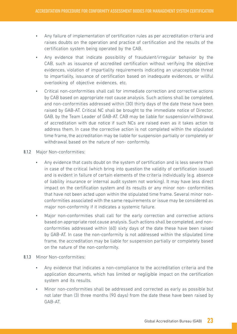- Any failure of implementation of certification rules as per accreditation criteria and raises doubts on the operation and practice of certification and the results of the certification system being operated by the CAB.
- Any evidence that indicate possibility of fraudulent/irregular behavior by the CAB, such as issuance of accredited certification without verifying the objective evidences, violation of impartiality requirements indicating an unacceptable threat to impartiality, issuance of certification based on inadequate evidences, or willful overlooking of objective evidences, etc.
- Critical non-conformities shall call for immediate correction and corrective actions by CAB based on appropriate root cause analysis. Such actions shall be completed, and non-conformities addressed within (30) thirty days of the date these have been raised by GAB-AT. Critical NC shall be brought to the immediate notice of Director, GAB, by the Team Leader of GAB-AT. CAB may be liable for suspension/withdrawal of accreditation with due notice if such NCs are raised even as it takes action to address them. In case the corrective action is not completed within the stipulated time frame, the accreditation may be liable for suspension partially or completely or withdrawal based on the nature of non- conformity.
- 8.1.2 Major Non-conformities:
	- Any evidence that casts doubt on the system of certification and is less severe than in case of the critical (which bring into question the validity of certification issued) and is evident in failure of certain elements of the criteria individually (e.g. absence of liability insurance or internal audit system not working). It may have less direct impact on the certification system and its results or any minor non- conformities that have not been acted upon within the stipulated time frame. Several minor nonconformities associated with the same requirements or issue may be considered as major non-conformity if it indicates a systemic failure.
	- Major non-conformities shall call for the early correction and corrective actions based on appropriate root cause analysis. Such actions shall be completed, and nonconformities addressed within (60) sixty days of the date these have been raised by GAB-AT. In case the non-conformity is not addressed within the stipulated time frame, the accreditation may be liable for suspension partially or completely based on the nature of the non-conformity.
- 8.1.3 Minor Non-conformities:
	- Any evidence that indicates a non-compliance to the accreditation criteria and the application documents, which has limited or negligible impact on the certification system and its results.
	- Minor non-conformities shall be addressed and corrected as early as possible but not later than (3) three months (90 days) from the date these have been raised by GAB-AT.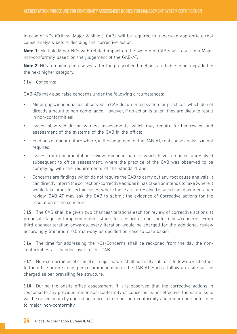In case of NCs (Critical, Major & Minor), CABs will be required to undertake appropriate root cause analysis before deciding the corrective action.

**Note 1:** Multiple Minor NCs with related impact on the system of CAB shall result in a Major non-conformity based on the judgement of the GAB-AT.

**Note 2:** NCs remaining unresolved after the prescribed timelines are liable to be upgraded to the next higher category.

#### 8.1.4 Concerns:

GAB-ATs may also raise concerns under the following circumstances:

- Minor gaps/inadequacies observed, in CAB documented system or practices, which do not directly amount to non-compliance. However, if no action is taken, they are likely to result in non-conformities;
- Issues observed during witness assessments, which may require further review and assessment of the systems of the CAB in the office;
- Findings of minor nature where, in the judgement of the GAB-AT, root cause analysis in not required;
- Issues from documentation review, minor in nature, which have remained unresolved subsequent to office assessment, where the practice of the CAB was observed to be complying with the requirements of the standard and;
- Concerns are findings which do not require the CAB to carry out any root cause analysis. It can directly inform the correction/corrective actions it has taken or intends to take (where it would take time). In certain cases, where these are unresolved issues from documentation review, GAB AT may ask the CAB to submit the evidence of Corrective actions for the resolution of the concerns.

8.1.5 The CAB shall be given two chances/iterations each for review of corrective actions at proposal stage and implementation stage, for closure of non-conformities/concerns. From third chance/iteration onwards, every iteration would be charged for the additional review accordingly (minimum 0.5 man-day as decided on case to case basis).

8.1.6 The time for addressing the NCs/Concerns shall be reckoned from the day the nonconformities are handed over to the CAB.

8.1.7 Non-conformities of critical or major nature shall normally call for a follow up visit either to the office or on-site as per recommendation of the GAB-AT. Such a follow up visit shall be charged as per prevailing fee structure.

8.1.8 During the onsite office assessment, if it is observed that the corrective actions in response to any previous minor non-conformity or concerns, is not effective, the same issue will be raised again by upgrading concern to minor non-conformity and minor non-conformity to major non-conformity.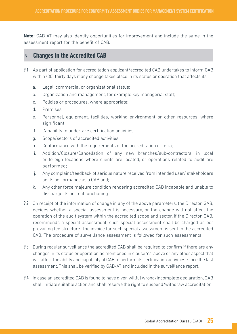**Note:** GAB-AT may also identify opportunities for improvement and include the same in the assessment report for the benefit of CAB.

## 9. **Changes in the Accredited CAB**

- 9.1 As part of application for accreditation applicant/accredited CAB undertakes to inform GAB within (30) thirty days if any change takes place in its status or operation that affects its:
	- a. Legal, commercial or organizational status;
	- b. Organization and management, for example key managerial staff;
	- c. Policies or procedures, where appropriate;
	- d. Premises;
	- e. Personnel, equipment, facilities, working environment or other resources, where significant;
	- f. Capability to undertake certification activities;
	- g. Scope/sectors of accredited activities;
	- h. Conformance with the requirements of the accreditation criteria;
	- i. Addition/Closure/Cancellation of any new branches/sub-contractors, in local or foreign locations where clients are located, or operations related to audit are performed;
	- j. Any complaint/feedback of serious nature received from intended user/ stakeholders on its performance as a CAB and;
	- k. Any other force majeure condition rendering accredited CAB incapable and unable to discharge its normal functioning.
- 9.2 On receipt of the information of change in any of the above parameters, the Director, GAB, decides whether a special assessment is necessary, or the change will not affect the operation of the audit system within the accredited scope and sector. If the Director, GAB, recommends a special assessment, such special assessment shall be charged as per prevailing fee structure. The invoice for such special assessment is sent to the accredited CAB. The procedure of surveillance assessment is followed for such assessments.
- 9.3 During regular surveillance the accredited CAB shall be required to confirm if there are any changes in its status or operation as mentioned in clause 9.1 above or any other aspect that will affect the ability and capability of CAB to perform its certification activities, since the last assessment. This shall be verified by GAB-AT and included in the surveillance report.
- 9.4 In case an accredited CAB is found to have given willful wrong/incomplete declaration, GAB shall initiate suitable action and shall reserve the right to suspend/withdraw accreditation.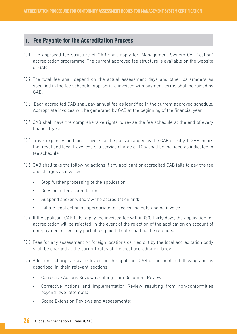## 10. **Fee Payable for the Accreditation Process**

- 10.1 The approved fee structure of GAB shall apply for 'Management System Certification" accreditation programme. The current approved fee structure is available on the website of GAB.
- 10.2 The total fee shall depend on the actual assessment days and other parameters as specified in the fee schedule. Appropriate invoices with payment terms shall be raised by GAB.
- 10.3 Each accredited CAB shall pay annual fee as identified in the current approved schedule. Appropriate invoices will be generated by GAB at the beginning of the financial year.
- 10.4 GAB shall have the comprehensive rights to revise the fee schedule at the end of every financial year.
- 10.5 Travel expenses and local travel shall be paid/arranged by the CAB directly. If GAB incurs the travel and local travel costs, a service charge of 10% shall be included as indicated in fee schedule.
- 10.6 GAB shall take the following actions if any applicant or accredited CAB fails to pay the fee and charges as invoiced.
	- Stop further processing of the application;
	- Does not offer accreditation;
	- Suspend and/or withdraw the accreditation and;
	- Initiate legal action as appropriate to recover the outstanding invoice.
- 10.7 If the applicant CAB fails to pay the invoiced fee within (30) thirty days, the application for accreditation will be rejected. In the event of the rejection of the application on account of non-payment of fee, any partial fee paid till date shall not be refunded.
- 10.8 Fees for any assessment on foreign locations carried out by the local accreditation body shall be charged at the current rates of the local accreditation body.
- 10.9 Additional charges may be levied on the applicant CAB on account of following and as described in their relevant sections:
	- Corrective Actions Review resulting from Document Review;
	- Corrective Actions and Implementation Review resulting from non-conformities beyond two attempts;
	- Scope Extension Reviews and Assessments;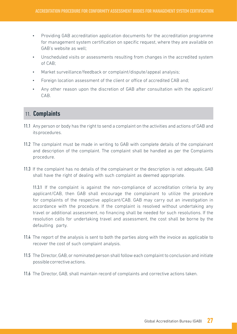- Providing GAB accreditation application documents for the accreditation programme for management system certification on specific request, where they are available on GAB's website as well;
- Unscheduled visits or assessments resulting from changes in the accredited system of CAB;
- Market surveillance/feedback or complaint/dispute/appeal analysis;
- Foreign location assessment of the client or office of accredited CAB and;
- Any other reason upon the discretion of GAB after consultation with the applicant/ CAB.

# 11. **Complaints**

- 11.1 Any person or body has the right to send a complaint on the activities and actions of GAB and its procedures.
- 11.2 The complaint must be made in writing to GAB with complete details of the complainant and description of the complaint. The complaint shall be handled as per the Complaints procedure.
- 11.3 If the complaint has no details of the complainant or the description is not adequate, GAB shall have the right of dealing with such complaint as deemed appropriate.

11.3.1 If the complaint is against the non-compliance of accreditation criteria by any applicant/CAB, then GAB shall encourage the complainant to utilize the procedure for complaints of the respective applicant/CAB. GAB may carry out an investigation in accordance with the procedure. If the complaint is resolved without undertaking any travel or additional assessment, no financing shall be needed for such resolutions. If the resolution calls for undertaking travel and assessment, the cost shall be borne by the defaulting party.

- 11.4 The report of the analysis is sent to both the parties along with the invoice as applicable to recover the cost of such complaint analysis.
- 11.5 The Director, GAB, or nominated person shall follow each complaint to conclusion and initiate possible corrective actions.
- 11.6 The Director, GAB, shall maintain record of complaints and corrective actions taken.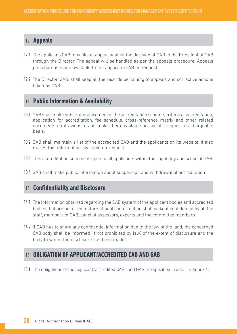## 12. **Appeals**

- 12.1 The applicant/CAB may file an appeal against the decision of GAB to the President of GAB through the Director. The appeal will be handled as per the appeals procedure. Appeals procedure is made available to the applicant/CAB on request.
- 12.2 The Director, GAB, shall keep all the records pertaining to appeals and corrective actions taken by GAB.

## 13. **Public Information & Availability**

- 13.1 GAB shall make public announcement of the accreditation scheme, criteria of accreditation, application for accreditation, fee schedule, cross-reference matrix and other related documents on its website and make them available on specific request on chargeable basis.
- 13.2 GAB shall maintain a list of the accredited CAB and the applicants on its website. It also makes this information available on request.
- 13.3 This accreditation scheme is open to all applicants within the capability and scope of GAB.
- 13.4 GAB shall make public information about suspension and withdrawal of accreditation

## 14. **Confidentiality and Disclosure**

- 14.1 The information obtained regarding the CAB system of the applicant bodies and accredited bodies that are not of the nature of public information shall be kept confidential by all the staff, members of GAB, panel of assessors, experts and the committee members.
- 14.2 If GAB has to share any confidential information due to the law of the land, the concerned CAB body shall be informed (if not prohibited by law) of the extent of disclosure and the body to whom the disclosure has been made.

## 15. **OBLIGATION OF APPLICANT/ACCREDITED CAB AND GAB**

15.1 The obligations of the applicant/accredited CABs and GAB are specified in detail in Annex 4.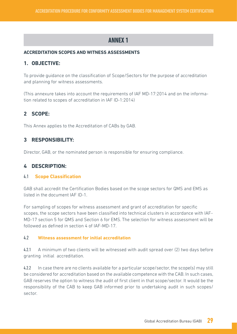#### **ACCREDITATION SCOPES AND WITNESS ASSESSMENTS**

#### **1. OBJECTIVE:**

To provide guidance on the classification of Scope/Sectors for the purpose of accreditation and planning for witness assessments.

(This annexure takes into account the requirements of IAF MD-17:2014 and on the information related to scopes of accreditation in IAF ID-1:2014)

### **2 SCOPE:**

This Annex applies to the Accreditation of CABs by GAB.

### **3 RESPONSIBILITY:**

Director, GAB, or the nominated person is responsible for ensuring compliance.

### **4 DESCRIPTION:**

#### 4.1 **Scope Classification**

GAB shall accredit the Certification Bodies based on the scope sectors for QMS and EMS as listed in the document IAF ID-1.

For sampling of scopes for witness assessment and grant of accreditation for specific scopes, the scope sectors have been classified into technical clusters in accordance with IAF-MD-17 section 5 for QMS and Section 6 for EMS. The selection for witness assessment will be followed as defined in section 4 of IAF-MD-17.

#### 4.2 **Witness assessment for initial accreditation**

4.2.1 A minimum of two clients will be witnessed with audit spread over (2) two days before granting initial accreditation.

4.2.2 In case there are no clients available for a particular scope/sector, the scope(s) may still be considered for accreditation based on the available competence with the CAB. In such cases, GAB reserves the option to witness the audit of first client in that scope/sector. It would be the responsibility of the CAB to keep GAB informed prior to undertaking audit in such scopes/ sector.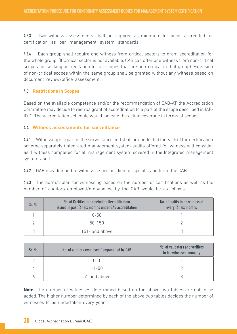4.2.3 Two witness assessments shall be required as minimum for being accredited for certification as per management system standards.

4.2.4 Each group shall require one witness from critical sectors to grant accreditation for the whole group. (If Critical sector is not available, CAB can offer one witness from non-critical scopes for seeking accreditation for all scopes that are non-critical in that group). Extension of non-critical scopes within the same group shall be granted without any witness based on document review/office assessment.

#### 4.3 **Restrictions in Scopes**

Based on the available competence and/or the recommendation of GAB-AT, the Accreditation Committee may decide to restrict grant of accreditation to a part of the scope described in IAF-ID-1. The accreditation schedule would indicate the actual coverage in terms of scopes.

#### 4.4 **Witness assessments for surveillance**

4.4.1 Witnessing is a part of the surveillance and shall be conducted for each of the certification scheme separately (Integrated management system audits offered for witness will consider as 1 witness completed for all management system covered in the Integrated management system audit.

4.4.2 GAB may demand to witness a specific client or specific auditor of the CAB.

4.4.3 The normal plan for witnessing based on the number of certifications as well as the number of auditors employed/empanelled by the CAB would be as follows.

| Sr. No. | No. of Certification (including Recertification<br>issued in past (6) six months under GAB accreditation | No. of audits to be witnessed<br>every $(6)$ six months |
|---------|----------------------------------------------------------------------------------------------------------|---------------------------------------------------------|
|         | $0 - 50$                                                                                                 |                                                         |
|         | 50-150                                                                                                   |                                                         |
|         | 151- and above                                                                                           |                                                         |

| Sr. No. | No. of auditors employed / empanelled by CAB | No. of validators and verifiers<br>to be witnessed annually |
|---------|----------------------------------------------|-------------------------------------------------------------|
|         | $1 - 10$                                     |                                                             |
|         | $11 - 50$                                    |                                                             |
|         | 51 and above                                 |                                                             |

**Note:** The number of witnesses determined based on the above two tables are not to be added. The higher number determined by each of the above two tables decides the number of witnesses to be undertaken every year.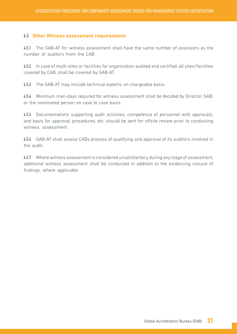#### 4.5 **Other Witness assessment requirements**

4.5.1 The GAB-AT for witness assessment shall have the same number of assessors as the number of auditors from the CAB.

4.5.2 In case of multi-sites or facilities for organization audited and certified, all sites/facilities covered by CAB, shall be covered by GAB-AT.

4.5.3 The GAB-AT may include technical experts, on chargeable basis.

4.5.4 Minimum man-days required for witness assessment shall be decided by Director, GAB, or the nominated person on case to case basis.

4.5.5 Documentations supporting audit activities, competence of personnel with approvals, and basis for approval, procedures, etc. should be sent for offsite review prior to conducting witness assessment.

4.5.6 GAB-AT shall assess CABs process of qualifying and approval of its auditors involved in the audit.

4.5.7 Where witness assessment is considered unsatisfactory, during any stage of assessment, additional witness assessment shall be conducted in addition to the evidencing closure of findings, where applicable.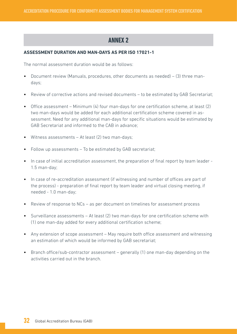#### **ASSESSMENT DURATION AND MAN-DAYS AS PER ISO 17021-1**

The normal assessment duration would be as follows:

- Document review (Manuals, procedures, other documents as needed) (3) three mandays;
- Review of corrective actions and revised documents to be estimated by GAB Secretariat;
- Office assessment Minimum (4) four man-days for one certification scheme, at least (2) two man-days would be added for each additional certification scheme covered in assessment. Need for any additional man-days for specific situations would be estimated by GAB Secretariat and informed to the CAB in advance;
- Witness assessments At least (2) two man-days;
- Follow up assessments To be estimated by GAB secretariat;
- In case of initial accreditation assessment, the preparation of final report by team leader 1.5 man-day;
- In case of re-accreditation assessment (if witnessing and number of offices are part of the process) - preparation of final report by team leader and virtual closing meeting, if needed - 1.0 man-day;
- Review of response to NCs as per document on timelines for assessment process
- Surveillance assessments At least (2) two man-days for one certification scheme with (1) one man-day added for every additional certification scheme;
- Any extension of scope assessment May require both office assessment and witnessing an estimation of which would be informed by GAB secretariat;
- Branch office/sub-contractor assessment generally (1) one man-day depending on the activities carried out in the branch.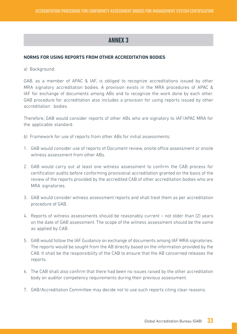#### **NORMS FOR USING REPORTS FROM OTHER ACCREDITATION BODIES**

a) Background:

GAB, as a member of APAC & IAF, is obliged to recognize accreditations issued by other MRA signatory accreditation bodies. A provision exists in the MRA procedures of APAC & IAF for exchange of documents among ABs and to recognize the work done by each other. GAB procedure for accreditation also includes a provision for using reports issued by other accreditation bodies.

Therefore, GAB would consider reports of other ABs who are signatory to IAF/APAC MRA for the applicable standard.

- b) Framework for use of reports from other ABs for initial assessments:
- 1. GAB would consider use of reports of Document review, onsite office assessment or onsite witness assessment from other ABs.
- 2. GAB would carry out at least one witness assessment to confirm the CAB process for certification audits before conforming provisional accreditation granted on the basis of the review of the reports provided by the accredited CAB of other accreditation bodies who are MRA signatories.
- 3. GAB would consider witness assessment reports and shall treat them as per accreditation procedure of GAB.
- 4. Reports of witness assessments should be reasonably current not older than (2) years on the date of GAB assessment. The scope of the witness assessment should be the same as applied by CAB.
- 5. GAB would follow the IAF Guidance on exchange of documents among IAF MRA signatories. The reports would be sought from the AB directly based on the information provided by the CAB. It shall be the responsibility of the CAB to ensure that the AB concerned releases the reports.
- 6. The CAB shall also confirm that there had been no issues raised by the other accreditation body on auditor competency requirements during their previous assessment.
- 7. GAB/Accreditation Committee may decide not to use such reports citing clear reasons.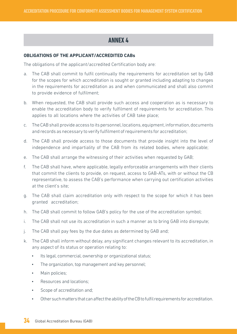#### **OBLIGATIONS OF THE APPLICANT/ACCREDITED CABs**

The obligations of the applicant/accredited Certification body are:

- a. The CAB shall commit to fulfil continually the requirements for accreditation set by GAB for the scopes for which accreditation is sought or granted including adapting to changes in the requirements for accreditation as and when communicated and shall also commit to provide evidence of fulfilment;
- b. When requested, the CAB shall provide such access and cooperation as is necessary to enable the accreditation body to verify fulfilment of requirements for accreditation. This applies to all locations where the activities of CAB take place;
- c. The CAB shall provide access to its personnel, locations, equipment, information, documents and records as necessary to verify fulfilment of requirements for accreditation;
- d. The CAB shall provide access to those documents that provide insight into the level of independence and impartiality of the CAB from its related bodies, where applicable;
- e. The CAB shall arrange the witnessing of their activities when requested by GAB;
- f. The CAB shall have, where applicable, legally enforceable arrangements with their clients that commit the clients to provide, on request, access to GAB-ATs, with or without the CB representative, to assess the CAB's performance when carrying out certification activities at the client's site;
- g. The CAB shall claim accreditation only with respect to the scope for which it has been granted accreditation;
- h. The CAB shall commit to follow GAB's policy for the use of the accreditation symbol;
- i. The CAB shall not use its accreditation in such a manner as to bring GAB into disrepute;
- j. The CAB shall pay fees by the due dates as determined by GAB and;
- k. The CAB shall inform without delay, any significant changes relevant to its accreditation, in any aspect of its status or operation relating to:
	- Its legal, commercial, ownership or organizational status;
	- The organization, top management and key personnel;
	- Main policies:
	- Resources and locations;
	- Scope of accreditation and:
	- Other such matters that can affect the ability of the CB to fulfil requirements for accreditation.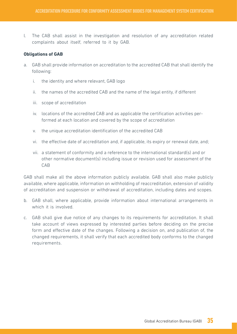l. The CAB shall assist in the investigation and resolution of any accreditation related complaints about itself, referred to it by GAB.

#### **Obligations of GAB**

- a. GAB shall provide information on accreditation to the accredited CAB that shall identify the following:
	- i. the identity and where relevant, GAB logo
	- ii. the names of the accredited CAB and the name of the legal entity, if different
	- iii. scope of accreditation
	- iv. locations of the accredited CAB and as applicable the certification activities performed at each location and covered by the scope of accreditation
	- v. the unique accreditation identification of the accredited CAB
	- vi. the effective date of accreditation and, if applicable, its expiry or renewal date, and;
	- vii. a statement of conformity and a reference to the international standard(s) and or other normative document(s) including issue or revision used for assessment of the **CAB**

GAB shall make all the above information publicly available. GAB shall also make publicly available, where applicable, information on withholding of reaccreditation, extension of validity of accreditation and suspension or withdrawal of accreditation, including dates and scopes.

- b. GAB shall, where applicable, provide information about international arrangements in which it is involved.
- c. GAB shall give due notice of any changes to its requirements for accreditation. It shall take account of views expressed by interested parties before deciding on the precise form and effective date of the changes. Following a decision on, and publication of, the changed requirements, it shall verify that each accredited body conforms to the changed requirements.